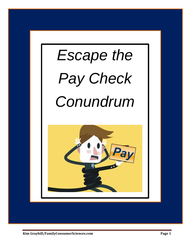

**Kim Graybill/FamilyConsumerSciences.com Page 1**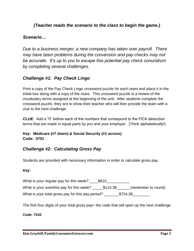## *(Teacher reads the scenario to the class to begin the game.)*

## *Scenario…*

*Due to a business merger, a new company has taken over payroll. There may have been problems during the conversion and pay checks may not be accurate. It's up to you to escape this potential pay check conundrum by completing several challenges.*

## *Challenge #1: Pay Check Lingo*

Print a copy of the Pay Check Lingo crossword puzzle for each team and place it in the initial box along with a copy of the clues. This crossword puzzle is a review of the vocabulary terms assigned at the beginning of the unit. After students complete the crossword puzzle, they are to show their teacher who will then provide the team with a clue to the next challenge.

*CLUE*: Add a "0" before each of the numbers that correspond to the FICA deduction terms that are made in equal parts by you and your employer. (Think alphabetically!)

### *Key***: Medicare (#7 down) & Social Security (#1 across) Code: 0701**

## *Challenge #2: Calculating Gross Pay*

Students are provided with necessary information in order to calculate gross pay.

#### *Key*:

What is your regular pay for this week? \_\_\_\_\$610\_\_\_\_\_\_\_\_\_\_\_ What is your overtime pay for this week? \_\_\_\_\_\$114.38\_\_\_\_\_\_ (remember to round) What is your total gross pay for this pay period? \_\_\_\_\_\_\_\$724.38\_\_\_\_\_\_\_\_

The first four digits of your total gross pay = the code that will open up the next challenge

**Code: 7243**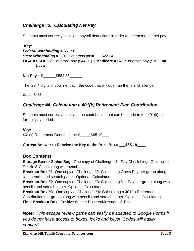# *Challenge #3: Calculating Net Pay*

Students must correctly calculate payroll deductions in order to determine the net pay.

*Key: Federal Withholding* = \$61.90 **State Withholding** =  $3.07\%$  of gross pay=  $$22.24$ **FICA** = **SSI** =  $6.2\%$  of gross pay (\$44.91) + **Medicare** =1.45% of gross pay (\$10.50)= \_\_\_\_\_\_\$55.41\_\_\_\_\_\_

**Net Pay** = \$\_\_\_\_\_\_\$584.83\_\_\_\_\_\_

The last 4 digits of your net pay= the code that will open up the final challenge.

**Code: 8483**

# *Challenge #4: Calculating a 401(k) Retirement Plan Contribution*

Students must correctly calculate the contribution that can be made to the 401(k) plan for this pay period.

#### *Key:*

401(k) Retirement Contribution= \$ \$65.19

**Correct Answer to Receive the Key to the Prize Box=**  $$65.19$ 

## **Box Contents**

**Storage Box or Ziploc Bag**: One copy of Challenge #1: Pay Check Lingo Crossword Puzzle & Clues along with pencils.

**Breakout Box #1**: One copy of Challenge #2: Calculating Gross Pay per group along with pencils and scratch paper. Optional: Calculators

**Breakout Box #2**: One copy of Challenge #3: Calculating Net Pay per group along with pencils and scratch paper. Optional: Calculators

**Breakout Box #3**: One copy of Challenge #4: Calculating a 401(k) Retirement Contribution per group along with pencils and scratch paper. Optional: Calculators **Final Breakout Box**: Positive Winner Posters/Messages & Prize

*Note: This escape review game can easily be adapted to Google Forms if you do not have access to boxes, locks and keys! Codes will easily convert!*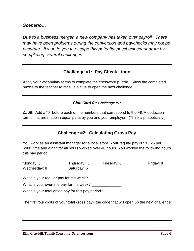### *Scenario…*

*Due to a business merger, a new company has taken over payroll. There may have been problems during the conversion and paychecks may not be accurate. It's up to you to escape this potential paycheck conundrum by completing several challenges.*

## **Challenge #1: Pay Check Lingo**

Apply your vocabulary terms to complete the crossword puzzle. Show the completed puzzle to the teacher to receive a clue to open the next challenge.

#### *Clue Card for Challenge #1:*

*CLUE***:** Add a "0" before each of the numbers that correspond to the FICA deduction terms that are made in equal parts by you and your employer. (Think alphabetically!)

## **Challenge #2: Calculating Gross Pay**

You work as an assistant manager for a local store. Your regular pay is \$15.25 per hour, time and a half for all hours worked over 40 hours. You worked the following hours this pay period:

| Monday: 8<br>Wednesday: 8                         | Thursday: 8<br>Saturday: 5 | Tuesday: 8 | Friday: 8 |
|---------------------------------------------------|----------------------------|------------|-----------|
| What is your regular pay for the week?            |                            |            |           |
| What is your overtime pay for the week?           |                            |            |           |
| What is your total gross pay for this pay period? |                            |            |           |
|                                                   |                            |            |           |

The first four digits of your total gross pay= the code that will open up the next challenge